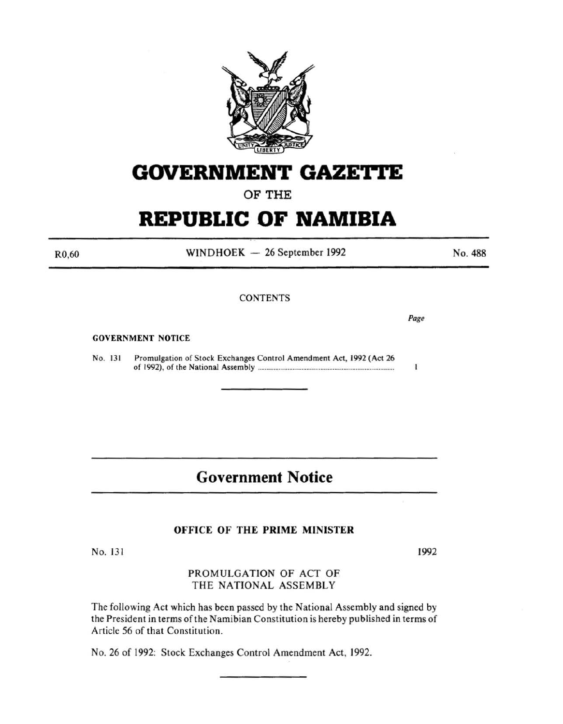

# **GOVERNMENT GAZETTE**

OF THE

# **REPUBLIC OF NAMIBIA**

 $WINDHOEK - 26$  September 1992

#### **CONTENTS**

GOVERNMENT NOTICE

R0,60

No. 131 Promulgation of Stock Exchanges Control Amendment Act, 1992 (Act 26 of 1992), of the National Assembly ............................................................................. .

## **Government Notice**

#### OFFICE OF THE PRIME MINISTER

No. 131

1992

#### PROMULGATION OF ACT OF THE NATIONAL ASSEMBLY

The following Act which has been passed by the National Assembly and signed by the President in terms of the Namibian Constitution is hereby published in terms of Article 56 of that Constitution.

No. 26 of 1992: Stock Exchanges Control Amendment Act, 1992.

No. 488

*Page* 

 $\mathbf{I}$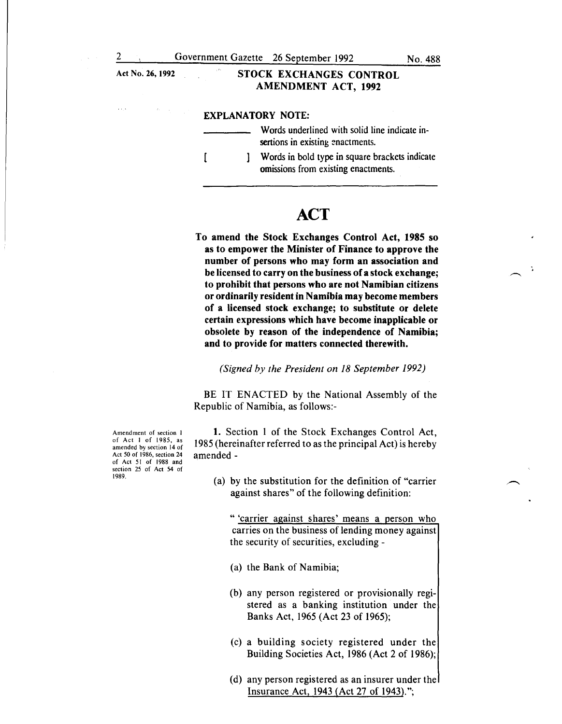#### Act No. 26, 1992 STOCK EXCHANGES CONTROL AMENDMENT ACT, 1992

#### EXPLANATORY NOTE:

 $\mathbf{I}$ 

- Words underlined with solid line indicate insertions in existing enactments.
- Words in bold type in square brackets indicate 1 omissions from existing enactments.

### **ACT**

To amend the Stock Exchanges Control Act, 1985 so as to empower the Minister of Finance to approve the number of persons who may form an association and be licensed to carry on the business of a stock exchange; to prohibit that persons who are not Namibian citizens or ordinarily resident in Namibia may become members of a licensed stock exchange; to substitute or delete certain expressions which have become inapplicable or obsolete by reason of the independence of Namibia; and to provide for matters connected therewith.

*(Signed by the President on 18 September 1992)* 

BE IT ENACTED by the National Assembly of the Republic of Namibia, as follows:-

1. Section I of the Stock Exchanges Control Act, 1985 (hereinafter referred to as the principal Act) is hereby amended-

(a) by the substitution for the definition of "carrier against shares" of the following definition:

" 'carrier against shares' means a person who carries on the business of lending money against the security of securities, excluding -

- (a) the Bank of Namibia;
- (b) any person registered or provisionally registered as a banking institution under the Banks Act, 1965 (Act 23 of 1965);
- (c) a building society registered under the Building Societies Act, 1986 (Act 2 of 1986);
- (d) any person registered as an insurer under the Insurance Act, 1943 (Act 27 of 1943). ";

Amendment of section I of Act I of 1985, as amended by section 14 of Act 50 of 1986, section 24 of Act 51 of 1988 and section 25 of Act 54 of 1989.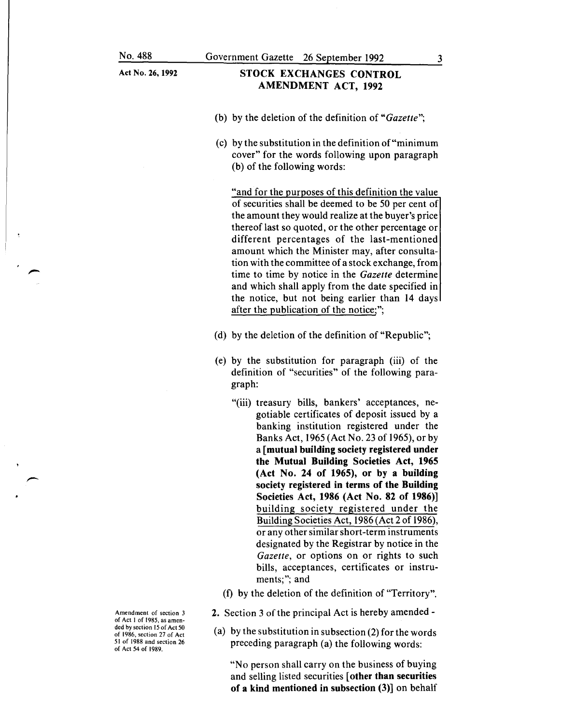#### STOCK EXCHANGES CONTROL AMENDMENT ACT, 1992

- (b) by the deletion of the definition of *"Gazette";*
- (c) by the substitution in the definition of"minimum cover" for the words following upon paragraph (b) of the following words:

"and for the purposes of this definition the value" of securities shall be deemed to be 50 per cent of the amount they would realize at the buyer's price thereof last so quoted, or the other percentage or different percentages of the last-mentioned amount which the Minister may, after consultation with the committee of a stock exchange, from time to time by notice in the *Gazette* determine and which shall apply from the date specified in the notice, but not being earlier than 14 days after the publication of the notice;";

- (d) by the deletion of the definition of "Republic";
- (e) by the substitution for paragraph (iii) of the definition of "securities" of the following paragraph:
	- "(iii) treasury bills, bankers' acceptances, negotiable certificates of deposit issued by a banking institution registered under the Banks Act, 1965 (Act No. 23 of 1965), or by a [mutual building society registered under the Mutual Building Societies Act, 1965 (Act No. 24 of 1965), or by a building society registered in terms of the Building Societies Act, 1986 (Act No. 82 of 1986)] building society registered under the Building Societies Act, 1986 (Act 2 of 1986), or any other similar short-term instruments designated by the Registrar by notice in the *Gazette,* or options on or rights to such bills, acceptances, certificates or instruments;"; and
	- (f) by the deletion of the definition of "Territory".
- 2. Section 3 of the principal Act is hereby amended-
- (a) by the substitution in subsection (2) for the words preceding paragraph (a) the following words:

"No person shall carry on the business of buying and selling listed securities [other than securities of a kind mentioned in subsection (3)] on behalf

Amendment of section 3 of Act I of 1985, as amended by section 15 of Act 50 of 1986, section 27 of Act 51 of 1988 and section 26 of Act 54 of 1989.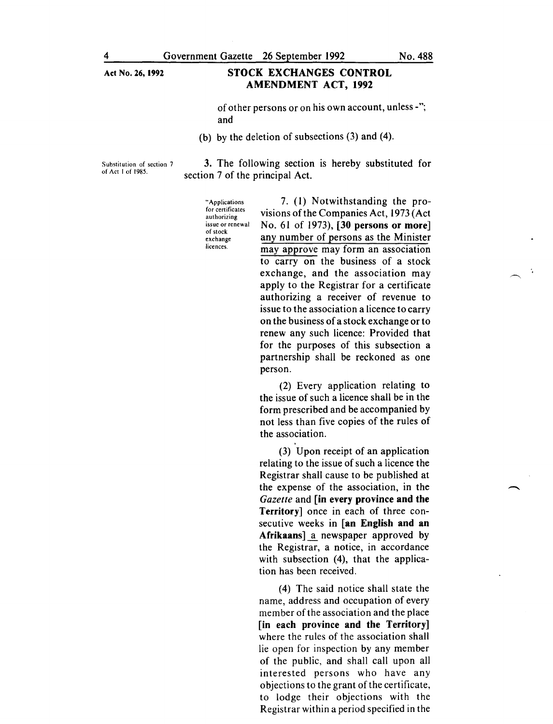#### STOCK EXCHANGES CONTROL AMENDMENT ACT, 1992

of other persons or on his own account, unless-"; and

(b) by the deletion of subsections (3) and (4).

Substitution of section 7 of Act I of 1985.

3. The following section is hereby substituted for section 7 of the principal Act.

"Applications for certificates authorizing issue or renewal of stock exchange licences.

7. (I) Notwithstanding the provisions of the Companies Act, 1973 (Act No. 61 of 1973), [30 persons or more] any number of persons as the Minister may approve may form an association to carry on the business of a stock exchange, and the association may apply to the Registrar for a certificate authorizing a receiver of revenue to issue to the association a licence to carry on the business of a stock exchange or to renew any such licence: Provided that for the purposes of this subsection a partnership shall be reckoned as one person.

(2) Every application relating to the issue of such a licence shall be in the form prescribed and be accompanied by not less than five copies of the rules of the association.

(3) Upon receipt of an application relating to the issue of such a licence the Registrar shall cause to be published at the expense of the association, in the *Gazette* and [in every province and the Territory] once in each of three consecutive weeks in [an English and an Afrikaans] a newspaper approved by the Registrar, a notice, in accordance with subsection (4), that the application has been received.

( 4) The said notice shall state the name, address and occupation of every member of the association and the place [in each province and the Territory] where the rules of the association shall lie open for inspection by any member of the public, and shall call upon all interested persons who have any objections to the grant of the certificate, to lodge their objections with the Registrar within a period specified in the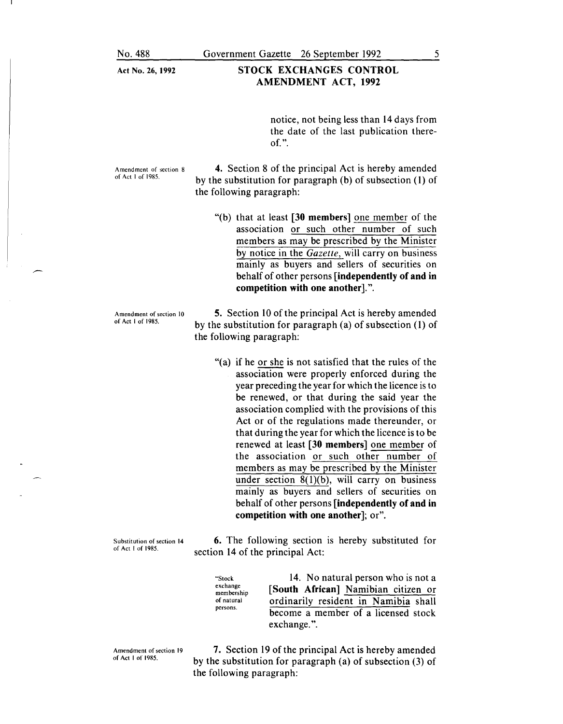#### STOCK EXCHANGES CONTROL AMENDMENT ACT, 1992

notice, not being less than 14 days from the date of the last publication thereof.".

Amendment of section 8 of Act I of 1985.

Amendment of section 10 of Act I of 1985.

4. Section 8 of the principal Act is hereby amended by the substitution for paragraph (b) of subsection (1) of the following paragraph:

"(b) that at least  $\lceil 30 \rceil$  members] one member of the association or such other number of such members as may be prescribed by the Minister by notice in the *Gazette,* will carry on business mainly as buyers and sellers of securities on behalf of other persons [independently of and in competition with one another].".

5. Section 10 of the principal Act is hereby amended by the substitution for paragraph (a) of subsection (1) of the following paragraph:

"(a) if he or she is not satisfied that the rules of the association were properly enforced during the year preceding the year for which the licence is to be renewed, or that during the said year the association complied with the provisions of this Act or of the regulations made thereunder, or that during the year for which the licence is to be renewed at least [30 members] one member of the association or such other number of members as may be prescribed by the Minister under section  $8(1)(b)$ , will carry on business mainly as buyers and sellers of securities on behalf of other persons [independently of and in competition with one another]; or".

6. The following section is hereby substituted for section 14 of the principal Act:

"Stock exchange membership of natural persons.

14. No natural person who is not a [South African] Namibian citizen or ordinarily resident in Namibia shall become a member of a licensed stock exchange.".

Amendment of section 19 of Act I of 1985.

7. Section 19 of the principal Act is hereby amended by the substitution for paragraph (a) of subsection (3) of the following paragraph:

Substitution of section 14 of Act I of 1985.